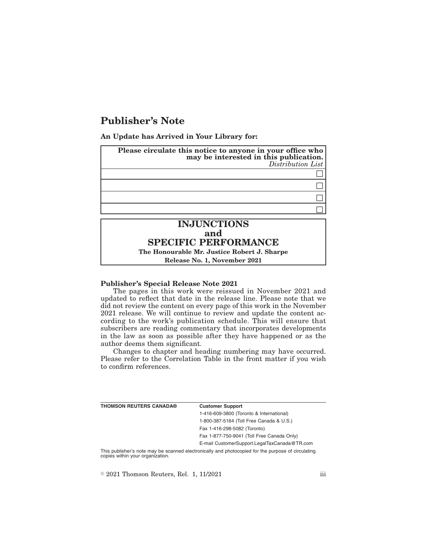# **Publisher's Note**

**An Update has Arrived in Your Library for:**



**The Honourable Mr. Justice Robert J. Sharpe Release No. 1, November 2021**

### **Publisher's Special Release Note 2021**

The pages in this work were reissued in November 2021 and updated to reflect that date in the release line. Please note that we did not review the content on every page of this work in the November 2021 release. We will continue to review and update the content according to the work's publication schedule. This will ensure that subscribers are reading commentary that incorporates developments in the law as soon as possible after they have happened or as the author deems them significant.

Changes to chapter and heading numbering may have occurred. Please refer to the Correlation Table in the front matter if you wish to confirm references.

| <b>THOMSON REUTERS CANADA®</b>                                                                  | <b>Customer Support</b>                      |
|-------------------------------------------------------------------------------------------------|----------------------------------------------|
|                                                                                                 | 1-416-609-3800 (Toronto & International)     |
|                                                                                                 | 1-800-387-5164 (Toll Free Canada & U.S.)     |
|                                                                                                 | Fax 1-416-298-5082 (Toronto)                 |
|                                                                                                 | Fax 1-877-750-9041 (Toll Free Canada Only)   |
|                                                                                                 | E-mail CustomerSupport.LegalTaxCanada@TR.com |
| This mubliched pata may be connected protectionly and photographed for the museum of civilation |                                              |

This publisher's note may be scanned electronically and photocopied for the purpose of circulating copies within your organization.

 $\textcircled{\textdegree}$  2021 Thomson Reuters, Rel. 1, 11/2021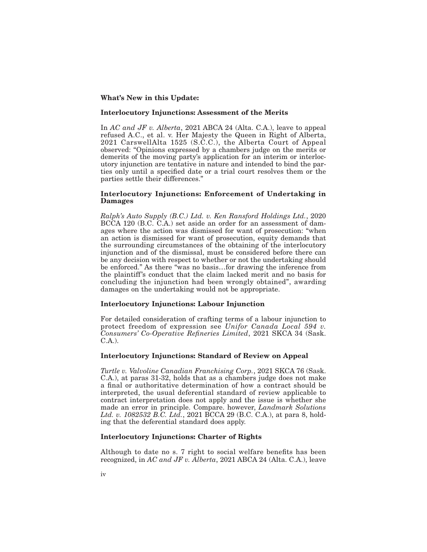### **What's New in this Update:**

#### **Interlocutory Injunctions: Assessment of the Merits**

In *AC and JF v. Alberta*, 2021 ABCA 24 (Alta. C.A.), leave to appeal refused A.C., et al. v. Her Majesty the Queen in Right of Alberta, 2021 CarswellAlta 1525 (S.C.C.), the Alberta Court of Appeal observed: "Opinions expressed by a chambers judge on the merits or demerits of the moving party's application for an interim or interlocutory injunction are tentative in nature and intended to bind the parties only until a specified date or a trial court resolves them or the parties settle their differences."

### **Interlocutory Injunctions: Enforcement of Undertaking in Damages**

*Ralph's Auto Supply (B.C.) Ltd. v. Ken Ransford Holdings Ltd.*, 2020 BCCA 120 (B.C. C.A.) set aside an order for an assessment of damages where the action was dismissed for want of prosecution: "when an action is dismissed for want of prosecution, equity demands that the surrounding circumstances of the obtaining of the interlocutory injunction and of the dismissal, must be considered before there can be any decision with respect to whether or not the undertaking should be enforced." As there "was no basis…for drawing the inference from the plaintiff's conduct that the claim lacked merit and no basis for concluding the injunction had been wrongly obtained", awarding damages on the undertaking would not be appropriate.

### **Interlocutory Injunctions: Labour Injunction**

For detailed consideration of crafting terms of a labour injunction to protect freedom of expression see *Unifor Canada Local 594 v. Consumers' Co-Operative Refineries Limited*, 2021 SKCA 34 (Sask. C.A.).

### **Interlocutory Injunctions: Standard of Review on Appeal**

*Turtle v. Valvoline Canadian Franchising Corp.*, 2021 SKCA 76 (Sask. C.A.), at paras 31-32, holds that as a chambers judge does not make a final or authoritative determination of how a contract should be interpreted, the usual deferential standard of review applicable to contract interpretation does not apply and the issue is whether she made an error in principle. Compare. however, *Landmark Solutions Ltd. v. 1082532 B.C. Ltd.*, 2021 BCCA 29 (B.C. C.A.), at para 8, holding that the deferential standard does apply.

# **Interlocutory Injunctions: Charter of Rights**

Although to date no s. 7 right to social welfare benefits has been recognized, in *AC and JF v. Alberta*, 2021 ABCA 24 (Alta. C.A.), leave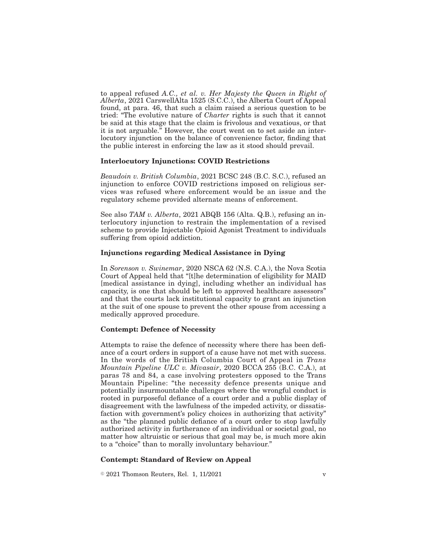to appeal refused *A.C., et al. v. Her Majesty the Queen in Right of Alberta*, 2021 CarswellAlta 1525 (S.C.C.), the Alberta Court of Appeal found, at para. 46, that such a claim raised a serious question to be tried: "The evolutive nature of *Charter* rights is such that it cannot be said at this stage that the claim is frivolous and vexatious, or that it is not arguable." However, the court went on to set aside an interlocutory injunction on the balance of convenience factor, finding that the public interest in enforcing the law as it stood should prevail.

### **Interlocutory Injunctions: COVID Restrictions**

*Beaudoin v. British Columbia*, 2021 BCSC 248 (B.C. S.C.), refused an injunction to enforce COVID restrictions imposed on religious services was refused where enforcement would be an issue and the regulatory scheme provided alternate means of enforcement.

See also *TAM v. Alberta*, 2021 ABQB 156 (Alta. Q.B.), refusing an interlocutory injunction to restrain the implementation of a revised scheme to provide Injectable Opioid Agonist Treatment to individuals suffering from opioid addiction.

# **Injunctions regarding Medical Assistance in Dying**

In *Sorenson v. Swinemar*, 2020 NSCA 62 (N.S. C.A.), the Nova Scotia Court of Appeal held that "[t]he determination of eligibility for MAID [medical assistance in dying], including whether an individual has capacity, is one that should be left to approved healthcare assessors" and that the courts lack institutional capacity to grant an injunction at the suit of one spouse to prevent the other spouse from accessing a medically approved procedure.

### **Contempt: Defence of Necessity**

Attempts to raise the defence of necessity where there has been defiance of a court orders in support of a cause have not met with success. In the words of the British Columbia Court of Appeal in *Trans Mountain Pipeline ULC v. Mivasair*, 2020 BCCA 255 (B.C. C.A.), at paras 78 and 84, a case involving protesters opposed to the Trans Mountain Pipeline: "the necessity defence presents unique and potentially insurmountable challenges where the wrongful conduct is rooted in purposeful defiance of a court order and a public display of disagreement with the lawfulness of the impeded activity, or dissatisfaction with government's policy choices in authorizing that activity" as the "the planned public defiance of a court order to stop lawfully authorized activity in furtherance of an individual or societal goal, no matter how altruistic or serious that goal may be, is much more akin to a "choice" than to morally involuntary behaviour."

#### **Contempt: Standard of Review on Appeal**

 $\textdegree$  2021 Thomson Reuters, Rel. 1, 11/2021 v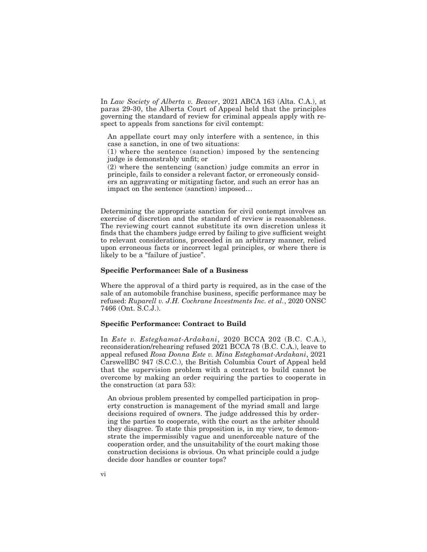In *Law Society of Alberta v. Beaver*, 2021 ABCA 163 (Alta. C.A.), at paras 29-30, the Alberta Court of Appeal held that the principles governing the standard of review for criminal appeals apply with respect to appeals from sanctions for civil contempt:

An appellate court may only interfere with a sentence, in this case a sanction, in one of two situations:

(1) where the sentence (sanction) imposed by the sentencing judge is demonstrably unfit; or

(2) where the sentencing (sanction) judge commits an error in principle, fails to consider a relevant factor, or erroneously considers an aggravating or mitigating factor, and such an error has an impact on the sentence (sanction) imposed…

Determining the appropriate sanction for civil contempt involves an exercise of discretion and the standard of review is reasonableness. The reviewing court cannot substitute its own discretion unless it finds that the chambers judge erred by failing to give sufficient weight to relevant considerations, proceeded in an arbitrary manner, relied upon erroneous facts or incorrect legal principles, or where there is likely to be a "failure of justice".

### **Specific Performance: Sale of a Business**

Where the approval of a third party is required, as in the case of the sale of an automobile franchise business, specific performance may be refused: *Ruparell v. J.H. Cochrane Investments Inc. et al.*, 2020 ONSC 7466 (Ont. S.C.J.).

#### **Specific Performance: Contract to Build**

In *Este v. Esteghamat-Ardakani*, 2020 BCCA 202 (B.C. C.A.), reconsideration/rehearing refused 2021 BCCA 78 (B.C. C.A.), leave to appeal refused *Rosa Donna Este v. Mina Esteghamat-Ardakani*, 2021 CarswellBC 947 (S.C.C.), the British Columbia Court of Appeal held that the supervision problem with a contract to build cannot be overcome by making an order requiring the parties to cooperate in the construction (at para 53):

An obvious problem presented by compelled participation in property construction is management of the myriad small and large decisions required of owners. The judge addressed this by ordering the parties to cooperate, with the court as the arbiter should they disagree. To state this proposition is, in my view, to demonstrate the impermissibly vague and unenforceable nature of the cooperation order, and the unsuitability of the court making those construction decisions is obvious. On what principle could a judge decide door handles or counter tops?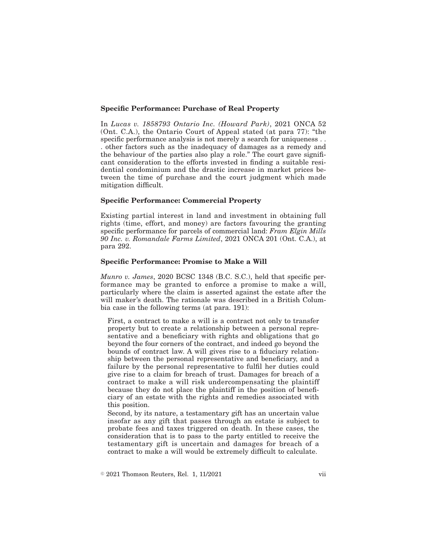### **Specific Performance: Purchase of Real Property**

In *Lucas v. 1858793 Ontario Inc. (Howard Park)*, 2021 ONCA 52 (Ont. C.A.), the Ontario Court of Appeal stated (at para 77): "the specific performance analysis is not merely a search for uniqueness . . . other factors such as the inadequacy of damages as a remedy and the behaviour of the parties also play a role." The court gave significant consideration to the efforts invested in finding a suitable residential condominium and the drastic increase in market prices between the time of purchase and the court judgment which made mitigation difficult.

### **Specific Performance: Commercial Property**

Existing partial interest in land and investment in obtaining full rights (time, effort, and money) are factors favouring the granting specific performance for parcels of commercial land: *Fram Elgin Mills 90 Inc. v. Romandale Farms Limited*, 2021 ONCA 201 (Ont. C.A.), at para 292.

### **Specific Performance: Promise to Make a Will**

*Munro v. James*, 2020 BCSC 1348 (B.C. S.C.), held that specific performance may be granted to enforce a promise to make a will, particularly where the claim is asserted against the estate after the will maker's death. The rationale was described in a British Columbia case in the following terms (at para. 191):

First, a contract to make a will is a contract not only to transfer property but to create a relationship between a personal representative and a beneficiary with rights and obligations that go beyond the four corners of the contract, and indeed go beyond the bounds of contract law. A will gives rise to a fiduciary relationship between the personal representative and beneficiary, and a failure by the personal representative to fulfil her duties could give rise to a claim for breach of trust. Damages for breach of a contract to make a will risk undercompensating the plaintiff because they do not place the plaintiff in the position of beneficiary of an estate with the rights and remedies associated with this position.

Second, by its nature, a testamentary gift has an uncertain value insofar as any gift that passes through an estate is subject to probate fees and taxes triggered on death. In these cases, the consideration that is to pass to the party entitled to receive the testamentary gift is uncertain and damages for breach of a contract to make a will would be extremely difficult to calculate.